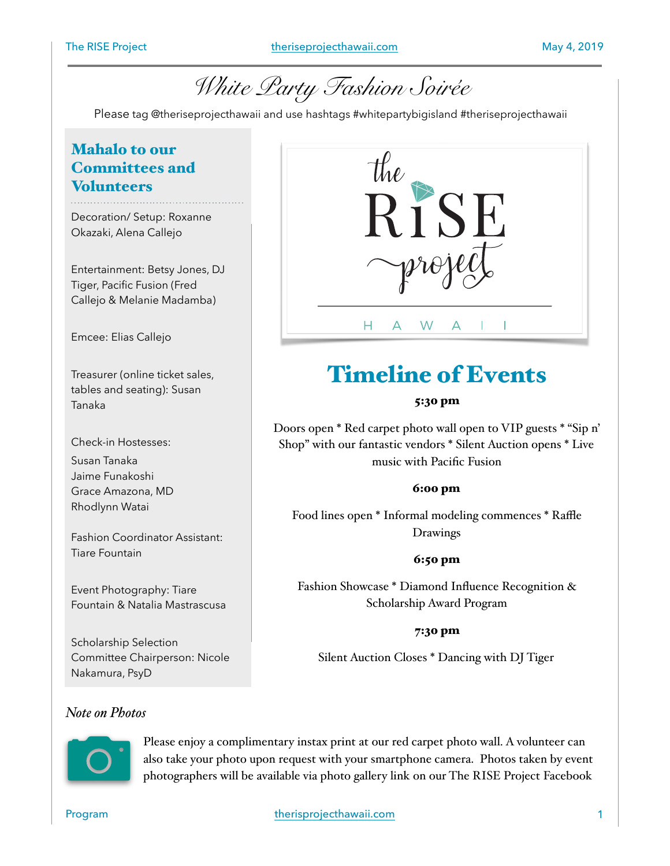

Please tag @theriseprojecthawaii and use hashtags #whitepartybigisland #theriseprojecthawaii

## Mahalo to our Committees and **Volunteers**

Decoration/ Setup: Roxanne Okazaki, Alena Callejo

Entertainment: Betsy Jones, DJ Tiger, Pacific Fusion (Fred Callejo & Melanie Madamba)

Emcee: Elias Callejo

Treasurer (online ticket sales, tables and seating): Susan Tanaka

Check-in Hostesses:

Susan Tanaka Jaime Funakoshi Grace Amazona, MD Rhodlynn Watai

Fashion Coordinator Assistant: Tiare Fountain

Event Photography: Tiare Fountain & Natalia Mastrascusa

Scholarship Selection Committee Chairperson: Nicole Nakamura, PsyD

### *Note on Photos*



# Timeline of Events

### 5:30 pm

Doors open \* Red carpet photo wall open to VIP guests \* "Sip n' Shop" with our fantastic vendors \* Silent Auction opens \* Live music with Pacific Fusion

### 6:00 pm

Food lines open \* Informal modeling commences \* Raffle Drawings

### 6:50 pm

Fashion Showcase \* Diamond Influence Recognition & Scholarship Award Program

### 7:30 pm

Silent Auction Closes \* Dancing with DJ Tiger

Please enjoy a complimentary instax print at our red carpet photo wall. A volunteer can also take your photo upon request with your smartphone camera. Photos taken by event photographers will be available via photo gallery link on our The RISE Project Facebook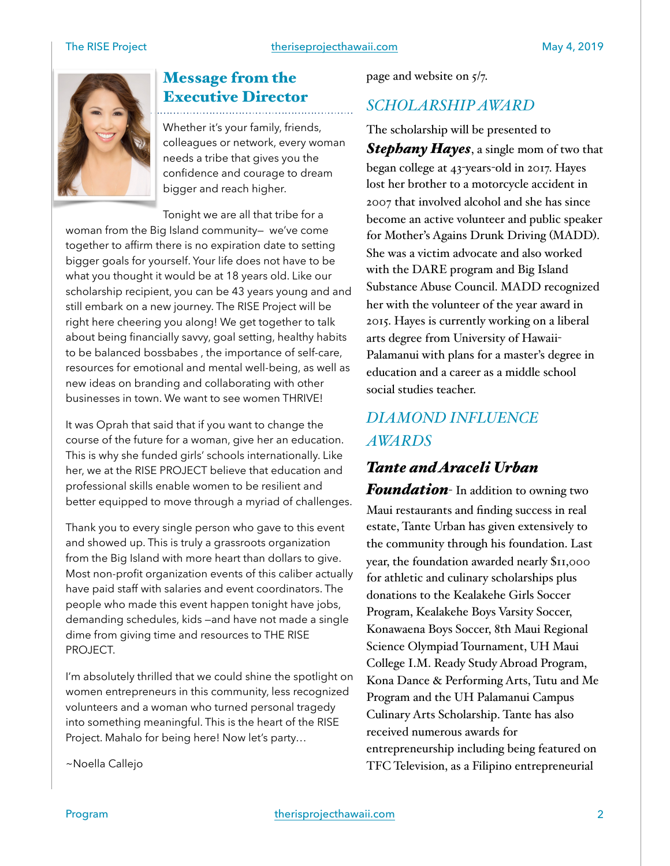

# Message from the Executive Director

Whether it's your family, friends, colleagues or network, every woman needs a tribe that gives you the confidence and courage to dream bigger and reach higher.

Tonight we are all that tribe for a woman from the Big Island community— we've come together to affirm there is no expiration date to setting bigger goals for yourself. Your life does not have to be what you thought it would be at 18 years old. Like our scholarship recipient, you can be 43 years young and and still embark on a new journey. The RISE Project will be right here cheering you along! We get together to talk about being financially savvy, goal setting, healthy habits to be balanced bossbabes , the importance of self-care, resources for emotional and mental well-being, as well as new ideas on branding and collaborating with other businesses in town. We want to see women THRIVE!

It was Oprah that said that if you want to change the course of the future for a woman, give her an education. This is why she funded girls' schools internationally. Like her, we at the RISE PROJECT believe that education and professional skills enable women to be resilient and better equipped to move through a myriad of challenges.

Thank you to every single person who gave to this event and showed up. This is truly a grassroots organization from the Big Island with more heart than dollars to give. Most non-profit organization events of this caliber actually have paid staff with salaries and event coordinators. The people who made this event happen tonight have jobs, demanding schedules, kids —and have not made a single dime from giving time and resources to THE RISE PROJECT.

I'm absolutely thrilled that we could shine the spotlight on women entrepreneurs in this community, less recognized volunteers and a woman who turned personal tragedy into something meaningful. This is the heart of the RISE Project. Mahalo for being here! Now let's party…

~Noella Callejo

page and website on  $5/7$ .

### *SCHOLARSHIP AWARD*

The scholarship will be presented to *Stephany Hayes*, a single mom of two that began college at 43-years-old in 2017. Hayes lost her brother to a motorcycle accident in 2007 that involved alcohol and she has since become an active volunteer and public speaker for Mother's Agains Drunk Driving (MADD). She was a victim advocate and also worked with the DARE program and Big Island Substance Abuse Council. MADD recognized her with the volunteer of the year award in 2015. Hayes is currently working on a liberal arts degree from University of Hawaii-Palamanui with plans for a master's degree in education and a career as a middle school social studies teacher.

# *DIAMOND INFLUENCE AWARDS*

### *Tante and Araceli Urban*

*Foundation*- In addition to owning two Maui restaurants and finding success in real estate, Tante Urban has given extensively to the community through his foundation. Last year, the foundation awarded nearly \$11,000 for athletic and culinary scholarships plus donations to the Kealakehe Girls Soccer Program, Kealakehe Boys Varsity Soccer, Konawaena Boys Soccer, 8th Maui Regional Science Olympiad Tournament, UH Maui College I.M. Ready Study Abroad Program, Kona Dance & Performing Arts, Tutu and Me Program and the UH Palamanui Campus Culinary Arts Scholarship. Tante has also received numerous awards for entrepreneurship including being featured on TFC Television, as a Filipino entrepreneurial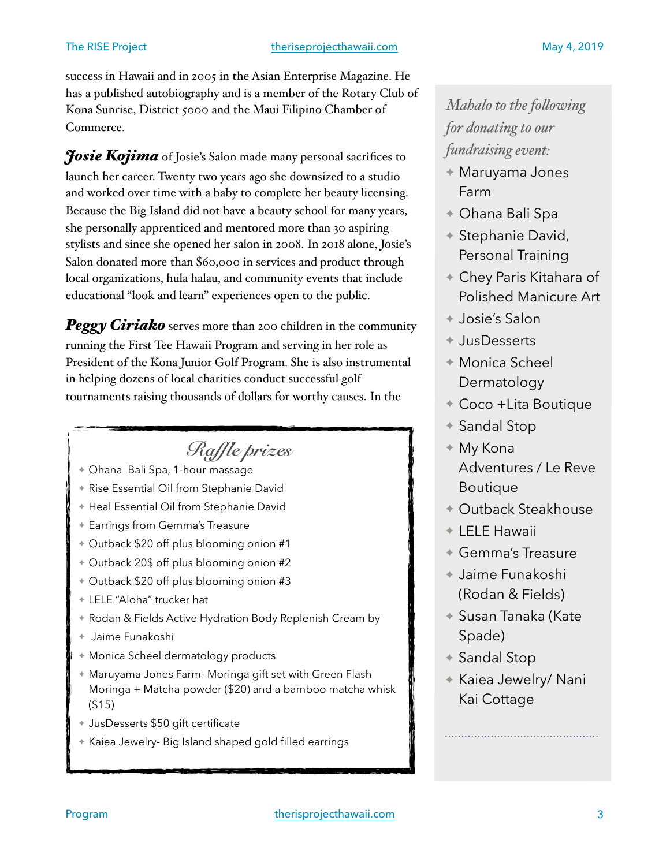success in Hawaii and in 2005 in the Asian Enterprise Magazine. He has a published autobiography and is a member of the Rotary Club of Kona Sunrise, District 5000 and the Maui Filipino Chamber of Commerce.

*Josie Kojima* of Josie's Salon made many personal sacrifices to launch her career. Twenty two years ago she downsized to a studio and worked over time with a baby to complete her beauty licensing. Because the Big Island did not have a beauty school for many years, she personally apprenticed and mentored more than 30 aspiring stylists and since she opened her salon in 2008. In 2018 alone, Josie's Salon donated more than \$60,000 in services and product through local organizations, hula halau, and community events that include educational "look and learn" experiences open to the public.

*Peggy Ciriako* serves more than 200 children in the community running the First Tee Hawaii Program and serving in her role as President of the Kona Junior Golf Program. She is also instrumental in helping dozens of local charities conduct successful golf tournaments raising thousands of dollars for worthy causes. In the

# *Raffle prizes*

- ✦ Ohana Bali Spa, 1-hour massage
- ✦ Rise Essential Oil from Stephanie David
- ✦ Heal Essential Oil from Stephanie David
- ✦ Earrings from Gemma's Treasure
- ✦ Outback \$20 off plus blooming onion #1
- ✦ Outback 20\$ off plus blooming onion #2
- ✦ Outback \$20 off plus blooming onion #3
- ✦ LELE "Aloha" trucker hat
- ✦ Rodan & Fields Active Hydration Body Replenish Cream by
- ✦ Jaime Funakoshi
- ✦ Monica Scheel dermatology products
- ✦ Maruyama Jones Farm- Moringa gift set with Green Flash Moringa + Matcha powder (\$20) and a bamboo matcha whisk (\$15)
- ✦ JusDesserts \$50 gift certificate
- ✦ Kaiea Jewelry- Big Island shaped gold filled earrings

# *Mahalo to the folowing for donating to our fundraising event:*

- ✦ Maruyama Jones Farm
- ✦ Ohana Bali Spa
- ✦ Stephanie David, Personal Training
- ✦ Chey Paris Kitahara of Polished Manicure Art
- ✦ Josie's Salon
- ✦ JusDesserts
- ✦ Monica Scheel Dermatology
- ✦ Coco +Lita Boutique
- ✦ Sandal Stop
- ✦ My Kona Adventures / Le Reve Boutique
- ✦ Outback Steakhouse
- ✦ LELE Hawaii
- ✦ Gemma's Treasure
- ✦ Jaime Funakoshi (Rodan & Fields)
- ✦ Susan Tanaka (Kate Spade)
- ✦ Sandal Stop
- ✦ Kaiea Jewelry/ Nani Kai Cottage